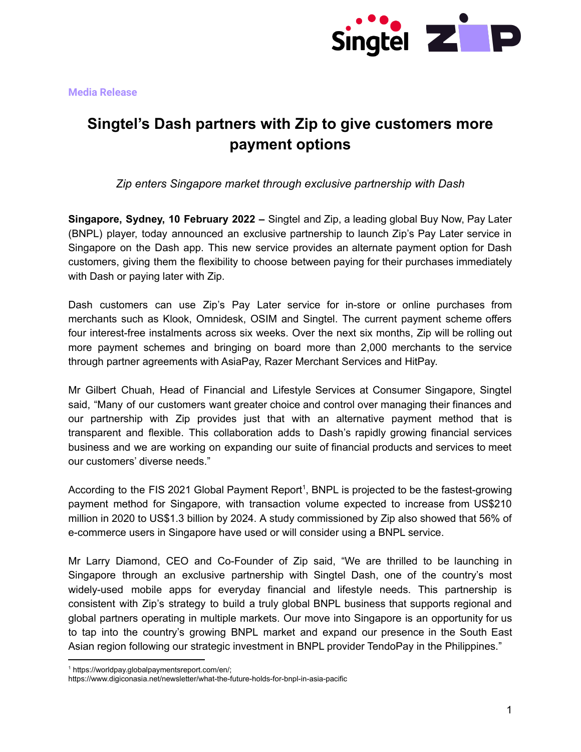

# **Singtel's Dash partners with Zip to give customers more payment options**

*Zip enters Singapore market through exclusive partnership with Dash*

**Singapore, Sydney, 10 February 2022 –** Singtel and Zip, a leading global Buy Now, Pay Later (BNPL) player, today announced an exclusive partnership to launch Zip's Pay Later service in Singapore on the Dash app. This new service provides an alternate payment option for Dash customers, giving them the flexibility to choose between paying for their purchases immediately with Dash or paying later with Zip.

Dash customers can use Zip's Pay Later service for in-store or online purchases from merchants such as Klook, Omnidesk, OSIM and Singtel. The current payment scheme offers four interest-free instalments across six weeks. Over the next six months, Zip will be rolling out more payment schemes and bringing on board more than 2,000 merchants to the service through partner agreements with AsiaPay, Razer Merchant Services and HitPay.

Mr Gilbert Chuah, Head of Financial and Lifestyle Services at Consumer Singapore, Singtel said, "Many of our customers want greater choice and control over managing their finances and our partnership with Zip provides just that with an alternative payment method that is transparent and flexible. This collaboration adds to Dash's rapidly growing financial services business and we are working on expanding our suite of financial products and services to meet our customers' diverse needs."

According to the FIS 2021 Global Payment Report<sup>1</sup>, BNPL is projected to be the fastest-growing payment method for Singapore, with transaction volume expected to increase from US\$210 million in 2020 to US\$1.3 billion by 2024. A study commissioned by Zip also showed that 56% of e-commerce users in Singapore have used or will consider using a BNPL service.

Mr Larry Diamond, CEO and Co-Founder of Zip said, "We are thrilled to be launching in Singapore through an exclusive partnership with Singtel Dash, one of the country's most widely-used mobile apps for everyday financial and lifestyle needs. This partnership is consistent with Zip's strategy to build a truly global BNPL business that supports regional and global partners operating in multiple markets. Our move into Singapore is an opportunity for us to tap into the country's growing BNPL market and expand our presence in the South East Asian region following our strategic investment in BNPL provider TendoPay in the Philippines."

<sup>1</sup> https://worldpay.globalpaymentsreport.com/en/;

https://www.digiconasia.net/newsletter/what-the-future-holds-for-bnpl-in-asia-pacific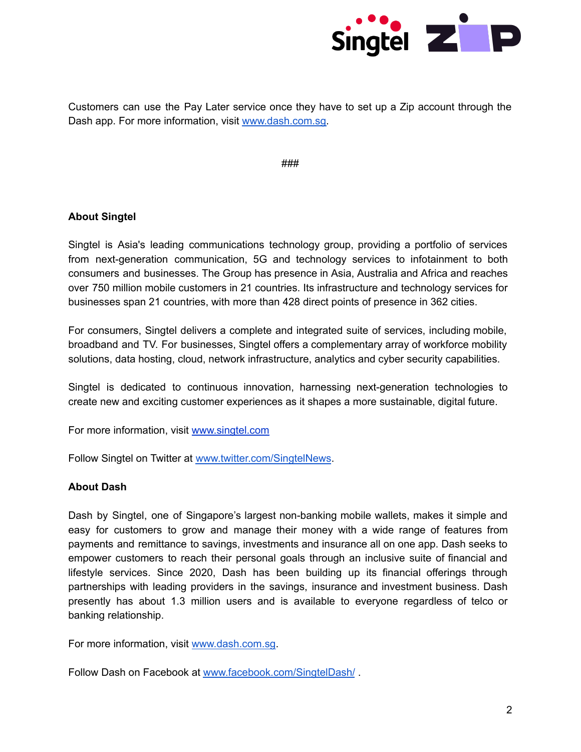

Customers can use the Pay Later service once they have to set up a Zip account through the Dash app. For more information, visit [www.dash.com.sg.](http://www.dash.com.sg)

###

# **About Singtel**

Singtel is Asia's leading communications technology group, providing a portfolio of services from next-generation communication, 5G and technology services to infotainment to both consumers and businesses. The Group has presence in Asia, Australia and Africa and reaches over 750 million mobile customers in 21 countries. Its infrastructure and technology services for businesses span 21 countries, with more than 428 direct points of presence in 362 cities.

For consumers, Singtel delivers a complete and integrated suite of services, including mobile, broadband and TV. For businesses, Singtel offers a complementary array of workforce mobility solutions, data hosting, cloud, network infrastructure, analytics and cyber security capabilities.

Singtel is dedicated to continuous innovation, harnessing next-generation technologies to create new and exciting customer experiences as it shapes a more sustainable, digital future.

For more information, visit [www.singtel.com](http://www.singtel.com)

Follow Singtel on Twitter at [www.twitter.com/SingtelNews](http://www.twitter.com/SingtelNews).

# **About Dash**

Dash by Singtel, one of Singapore's largest non-banking mobile wallets, makes it simple and easy for customers to grow and manage their money with a wide range of features from payments and remittance to savings, investments and insurance all on one app. Dash seeks to empower customers to reach their personal goals through an inclusive suite of financial and lifestyle services. Since 2020, Dash has been building up its financial offerings through partnerships with leading providers in the savings, insurance and investment business. Dash presently has about 1.3 million users and is available to everyone regardless of telco or banking relationship.

For more information, visit [www.dash.com.sg.](http://www.dash.com.sg)

Follow Dash on Facebook at [www.facebook.com/SingtelDash/](http://www.facebook.com/SingtelDash/).